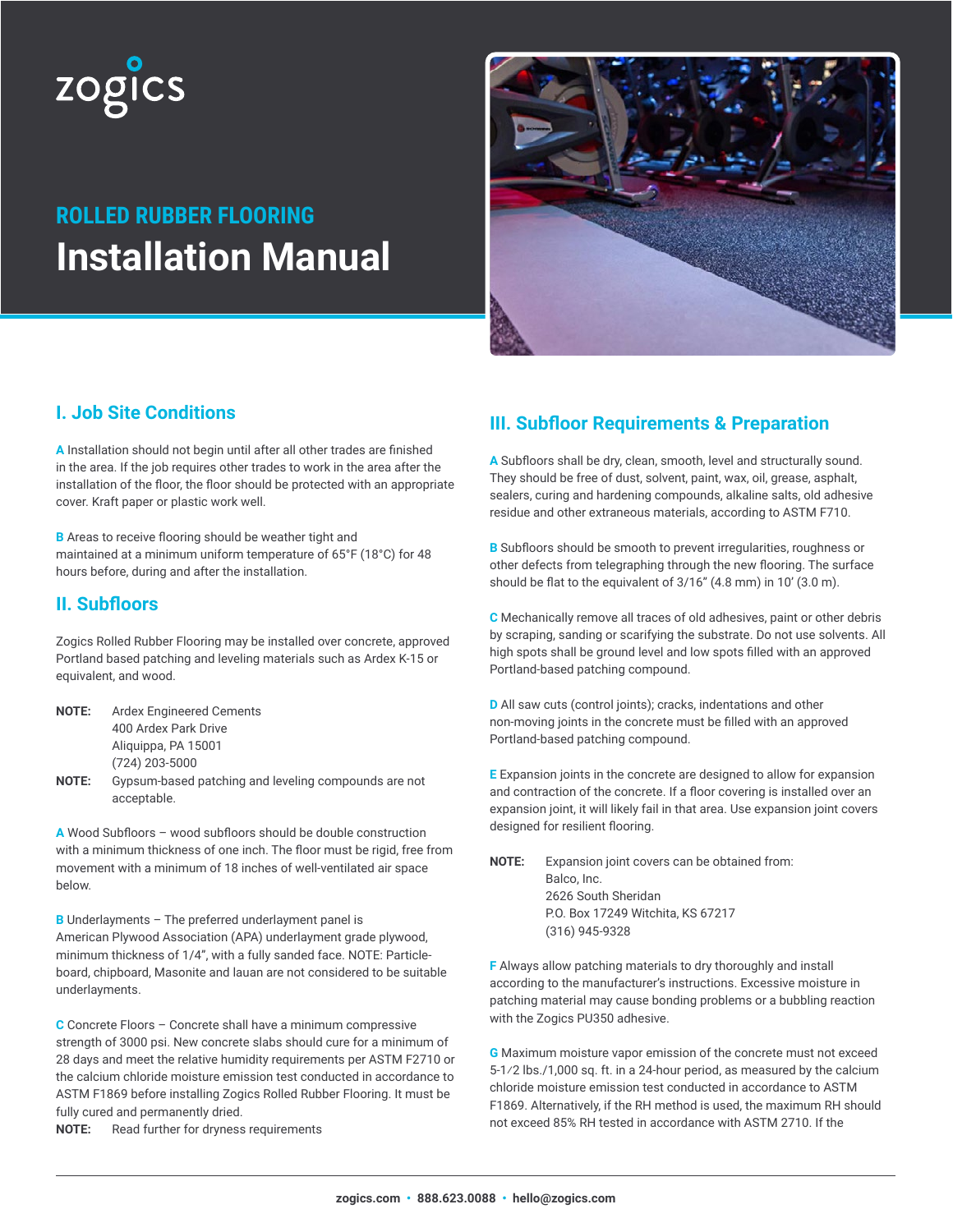

# **ROLLED RUBBER FLOORING Installation Manual**



## **I. Job Site Conditions**

**A** Installation should not begin until after all other trades are finished in the area. If the job requires other trades to work in the area after the installation of the floor, the floor should be protected with an appropriate cover. Kraft paper or plastic work well.

**B** Areas to receive flooring should be weather tight and maintained at a minimum uniform temperature of 65°F (18°C) for 48 hours before, during and after the installation.

## **II. Subfloors**

Zogics Rolled Rubber Flooring may be installed over concrete, approved Portland based patching and leveling materials such as Ardex K-15 or equivalent, and wood.

**NOTE:** Ardex Engineered Cements 400 Ardex Park Drive Aliquippa, PA 15001 (724) 203-5000 **NOTE:** Gypsum-based patching and leveling compounds are not

acceptable.

**A** Wood Subfloors – wood subfloors should be double construction with a minimum thickness of one inch. The floor must be rigid, free from movement with a minimum of 18 inches of well-ventilated air space below.

**B** Underlayments – The preferred underlayment panel is American Plywood Association (APA) underlayment grade plywood, minimum thickness of 1/4", with a fully sanded face. NOTE: Particleboard, chipboard, Masonite and lauan are not considered to be suitable underlayments.

**C** Concrete Floors – Concrete shall have a minimum compressive strength of 3000 psi. New concrete slabs should cure for a minimum of 28 days and meet the relative humidity requirements per ASTM F2710 or the calcium chloride moisture emission test conducted in accordance to ASTM F1869 before installing Zogics Rolled Rubber Flooring. It must be fully cured and permanently dried.

**NOTE:** Read further for dryness requirements

# **III. Subfloor Requirements & Preparation**

**A** Subfloors shall be dry, clean, smooth, level and structurally sound. They should be free of dust, solvent, paint, wax, oil, grease, asphalt, sealers, curing and hardening compounds, alkaline salts, old adhesive residue and other extraneous materials, according to ASTM F710.

**B** Subfloors should be smooth to prevent irregularities, roughness or other defects from telegraphing through the new flooring. The surface should be flat to the equivalent of 3/16" (4.8 mm) in 10' (3.0 m).

**C** Mechanically remove all traces of old adhesives, paint or other debris by scraping, sanding or scarifying the substrate. Do not use solvents. All high spots shall be ground level and low spots filled with an approved Portland-based patching compound.

**D** All saw cuts (control joints); cracks, indentations and other non-moving joints in the concrete must be filled with an approved Portland-based patching compound.

**E** Expansion joints in the concrete are designed to allow for expansion and contraction of the concrete. If a floor covering is installed over an expansion joint, it will likely fail in that area. Use expansion joint covers designed for resilient flooring.

**NOTE:** Expansion joint covers can be obtained from: Balco, Inc. 2626 South Sheridan P.O. Box 17249 Witchita, KS 67217 (316) 945-9328

**F** Always allow patching materials to dry thoroughly and install according to the manufacturer's instructions. Excessive moisture in patching material may cause bonding problems or a bubbling reaction with the Zogics PU350 adhesive.

**G** Maximum moisture vapor emission of the concrete must not exceed 5-1⁄2 lbs./1,000 sq. ft. in a 24-hour period, as measured by the calcium chloride moisture emission test conducted in accordance to ASTM F1869. Alternatively, if the RH method is used, the maximum RH should not exceed 85% RH tested in accordance with ASTM 2710. If the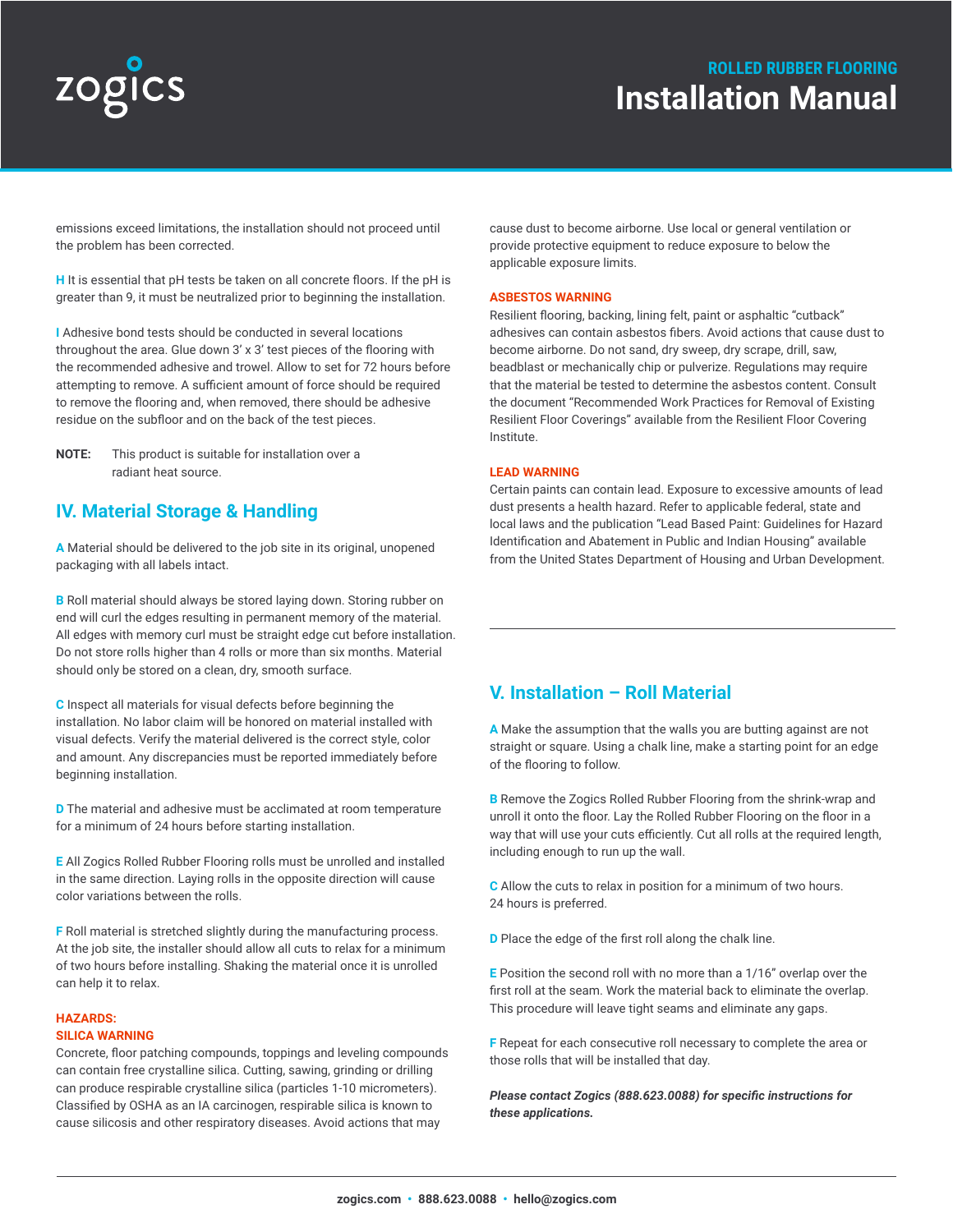# zogics

# **ROLLED RUBBER FLOORING Installation Manual**

emissions exceed limitations, the installation should not proceed until the problem has been corrected.

**H** It is essential that pH tests be taken on all concrete floors. If the pH is greater than 9, it must be neutralized prior to beginning the installation.

**I** Adhesive bond tests should be conducted in several locations throughout the area. Glue down 3' x 3' test pieces of the flooring with the recommended adhesive and trowel. Allow to set for 72 hours before attempting to remove. A sufficient amount of force should be required to remove the flooring and, when removed, there should be adhesive residue on the subfloor and on the back of the test pieces.

**NOTE:** This product is suitable for installation over a radiant heat source.

## **IV. Material Storage & Handling**

**A** Material should be delivered to the job site in its original, unopened packaging with all labels intact.

**B** Roll material should always be stored laying down. Storing rubber on end will curl the edges resulting in permanent memory of the material. All edges with memory curl must be straight edge cut before installation. Do not store rolls higher than 4 rolls or more than six months. Material should only be stored on a clean, dry, smooth surface.

**C** Inspect all materials for visual defects before beginning the installation. No labor claim will be honored on material installed with visual defects. Verify the material delivered is the correct style, color and amount. Any discrepancies must be reported immediately before beginning installation.

**D** The material and adhesive must be acclimated at room temperature for a minimum of 24 hours before starting installation.

**E** All Zogics Rolled Rubber Flooring rolls must be unrolled and installed in the same direction. Laying rolls in the opposite direction will cause color variations between the rolls.

**F** Roll material is stretched slightly during the manufacturing process. At the job site, the installer should allow all cuts to relax for a minimum of two hours before installing. Shaking the material once it is unrolled can help it to relax.

#### **HAZARDS:**

#### **SILICA WARNING**

Concrete, floor patching compounds, toppings and leveling compounds can contain free crystalline silica. Cutting, sawing, grinding or drilling can produce respirable crystalline silica (particles 1-10 micrometers). Classified by OSHA as an IA carcinogen, respirable silica is known to cause silicosis and other respiratory diseases. Avoid actions that may

cause dust to become airborne. Use local or general ventilation or provide protective equipment to reduce exposure to below the applicable exposure limits.

#### **ASBESTOS WARNING**

Resilient flooring, backing, lining felt, paint or asphaltic "cutback" adhesives can contain asbestos fibers. Avoid actions that cause dust to become airborne. Do not sand, dry sweep, dry scrape, drill, saw, beadblast or mechanically chip or pulverize. Regulations may require that the material be tested to determine the asbestos content. Consult the document "Recommended Work Practices for Removal of Existing Resilient Floor Coverings" available from the Resilient Floor Covering Institute.

#### **LEAD WARNING**

Certain paints can contain lead. Exposure to excessive amounts of lead dust presents a health hazard. Refer to applicable federal, state and local laws and the publication "Lead Based Paint: Guidelines for Hazard Identification and Abatement in Public and Indian Housing" available from the United States Department of Housing and Urban Development.

### **V. Installation – Roll Material**

**A** Make the assumption that the walls you are butting against are not straight or square. Using a chalk line, make a starting point for an edge of the flooring to follow.

**B** Remove the Zogics Rolled Rubber Flooring from the shrink-wrap and unroll it onto the floor. Lay the Rolled Rubber Flooring on the floor in a way that will use your cuts efficiently. Cut all rolls at the required length, including enough to run up the wall.

**C** Allow the cuts to relax in position for a minimum of two hours. 24 hours is preferred.

**D** Place the edge of the first roll along the chalk line.

**E** Position the second roll with no more than a 1/16" overlap over the first roll at the seam. Work the material back to eliminate the overlap. This procedure will leave tight seams and eliminate any gaps.

**F** Repeat for each consecutive roll necessary to complete the area or those rolls that will be installed that day.

*Please contact Zogics (888.623.0088) for specific instructions for these applications.*